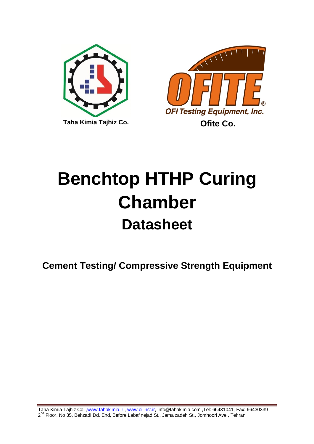



# **Benchtop HTHP Curing Chamber Datasheet**

**Cement Testing/ Compressive Strength Equipment**

Taha Kimia Tajhiz Co. [,www.tahakimia.ir](http://www.tahakimia.ir/) , [www.oilinst.ir,](http://www.oilinst.ir/) info@tahakimia.com ,Tel: 66431041, Fax: 66430339 2<sup>nd</sup> Floor, No 35, Behzadi Dd. End, Before Labafinejad St., Jamalzadeh St., Jomhoori Ave., Tehran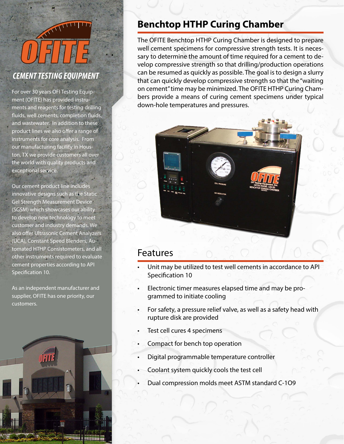# ANTIFIC

#### *CEMENT TESTING EQUIPMENT*

For over 30 years OFI Testing Equipment (OFITE) has provided instruments and reagents for testing drilling fluids, well cements, completion fluids, and wastewater. In addition to these product lines we also offer a range of instruments for core analysis. From our manufacturing facility in Houston, TX we provide customers all over the world with quality products and exceptional service.

Our cement product line includes innovative designs such as the Static Gel Strength Measurement Device (SGSM) which showcases our ability to develop new technology to meet customer and industry demands. We also offer Ultrasonic Cement Analyzers (UCA), Constant Speed Blenders, Automated HTHP Consistometers, and all other instruments required to evaluate cement properties according to API Specification 10.

As an independent manufacturer and supplier, OFITE has one priority, our customers.



## **Benchtop HTHP Curing Chamber**

The OFITE Benchtop HTHP Curing Chamber is designed to prepare well cement specimens for compressive strength tests. It is necessary to determine the amount of time required for a cement to develop compressive strength so that drilling/production operations can be resumed as quickly as possible. The goal is to design a slurry that can quickly develop compressive strength so that the "waiting on cement" time may be minimized. The OFITE HTHP Curing Chambers provide a means of curing cement specimens under typical down-hole temperatures and pressures.



#### Features

- Unit may be utilized to test well cements in accordance to API Specification 10
- Electronic timer measures elapsed time and may be programmed to initiate cooling
- For safety, a pressure relief valve, as well as a safety head with rupture disk are provided
- Test cell cures 4 specimens
- Compact for bench top operation
- Digital programmable temperature controller
- Coolant system quickly cools the test cell
- Dual compression molds meet ASTM standard C-1O9